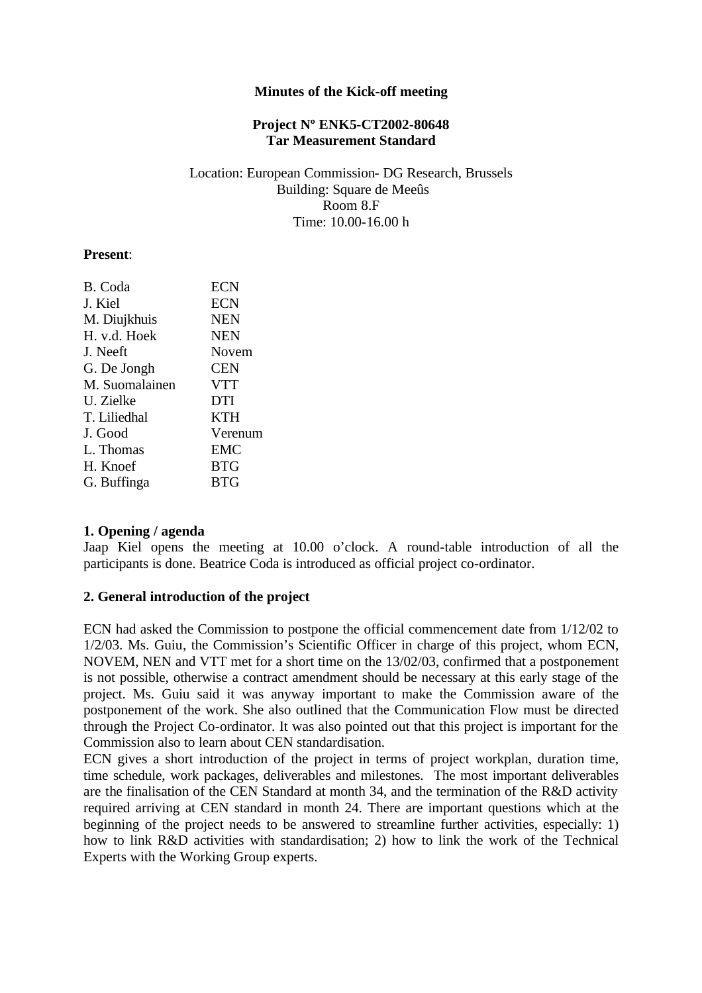### **Minutes of the Kick-off meeting**

### **Project Nº ENK5-CT2002-80648 Tar Measurement Standard**

#### Location: European Commission- DG Research, Brussels Building: Square de Meeûs Room 8.F Time: 10.00-16.00 h

#### **Present**:

| B. Coda        | <b>ECN</b> |
|----------------|------------|
| J. Kiel        | <b>ECN</b> |
| M. Diujkhuis   | <b>NEN</b> |
| H. v.d. Hoek   | <b>NEN</b> |
| J. Neeft       | Novem      |
| G. De Jongh    | <b>CEN</b> |
| M. Suomalainen | <b>VTT</b> |
| U. Zielke      | <b>DTI</b> |
| T. Liliedhal   | <b>KTH</b> |
| J. Good        | Verenum    |
| L. Thomas      | <b>EMC</b> |
| H. Knoef       | <b>BTG</b> |
| G. Buffinga    | <b>BTG</b> |
|                |            |

### **1. Opening / agenda**

Jaap Kiel opens the meeting at 10.00 o'clock. A round-table introduction of all the participants is done. Beatrice Coda is introduced as official project co-ordinator.

### **2. General introduction of the project**

ECN had asked the Commission to postpone the official commencement date from 1/12/02 to 1/2/03. Ms. Guiu, the Commission's Scientific Officer in charge of this project, whom ECN, NOVEM, NEN and VTT met for a short time on the 13/02/03, confirmed that a postponement is not possible, otherwise a contract amendment should be necessary at this early stage of the project. Ms. Guiu said it was anyway important to make the Commission aware of the postponement of the work. She also outlined that the Communication Flow must be directed through the Project Co-ordinator. It was also pointed out that this project is important for the Commission also to learn about CEN standardisation.

ECN gives a short introduction of the project in terms of project workplan, duration time, time schedule, work packages, deliverables and milestones. The most important deliverables are the finalisation of the CEN Standard at month 34, and the termination of the R&D activity required arriving at CEN standard in month 24. There are important questions which at the beginning of the project needs to be answered to streamline further activities, especially: 1) how to link R&D activities with standardisation; 2) how to link the work of the Technical Experts with the Working Group experts.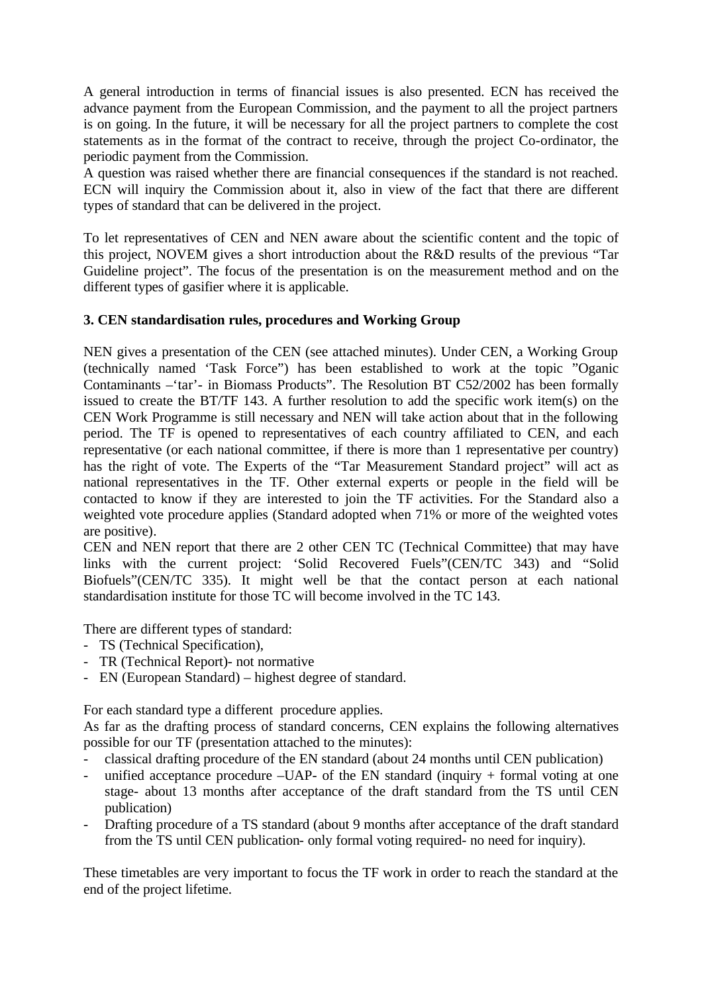A general introduction in terms of financial issues is also presented. ECN has received the advance payment from the European Commission, and the payment to all the project partners is on going. In the future, it will be necessary for all the project partners to complete the cost statements as in the format of the contract to receive, through the project Co-ordinator, the periodic payment from the Commission.

A question was raised whether there are financial consequences if the standard is not reached. ECN will inquiry the Commission about it, also in view of the fact that there are different types of standard that can be delivered in the project.

To let representatives of CEN and NEN aware about the scientific content and the topic of this project, NOVEM gives a short introduction about the R&D results of the previous "Tar Guideline project". The focus of the presentation is on the measurement method and on the different types of gasifier where it is applicable.

# **3. CEN standardisation rules, procedures and Working Group**

NEN gives a presentation of the CEN (see attached minutes). Under CEN, a Working Group (technically named 'Task Force") has been established to work at the topic "Oganic Contaminants –'tar'- in Biomass Products". The Resolution BT C52/2002 has been formally issued to create the BT/TF 143. A further resolution to add the specific work item(s) on the CEN Work Programme is still necessary and NEN will take action about that in the following period. The TF is opened to representatives of each country affiliated to CEN, and each representative (or each national committee, if there is more than 1 representative per country) has the right of vote. The Experts of the "Tar Measurement Standard project" will act as national representatives in the TF. Other external experts or people in the field will be contacted to know if they are interested to join the TF activities. For the Standard also a weighted vote procedure applies (Standard adopted when 71% or more of the weighted votes are positive).

CEN and NEN report that there are 2 other CEN TC (Technical Committee) that may have links with the current project: 'Solid Recovered Fuels"(CEN/TC 343) and "Solid Biofuels"(CEN/TC 335). It might well be that the contact person at each national standardisation institute for those TC will become involved in the TC 143.

There are different types of standard:

- TS (Technical Specification),
- TR (Technical Report)- not normative
- EN (European Standard) highest degree of standard.

For each standard type a different procedure applies.

As far as the drafting process of standard concerns, CEN explains the following alternatives possible for our TF (presentation attached to the minutes):

- classical drafting procedure of the EN standard (about 24 months until CEN publication)
- unified acceptance procedure  $-UAP-$  of the EN standard (inquiry  $+$  formal voting at one stage- about 13 months after acceptance of the draft standard from the TS until CEN publication)
- Drafting procedure of a TS standard (about 9 months after acceptance of the draft standard from the TS until CEN publication- only formal voting required- no need for inquiry).

These timetables are very important to focus the TF work in order to reach the standard at the end of the project lifetime.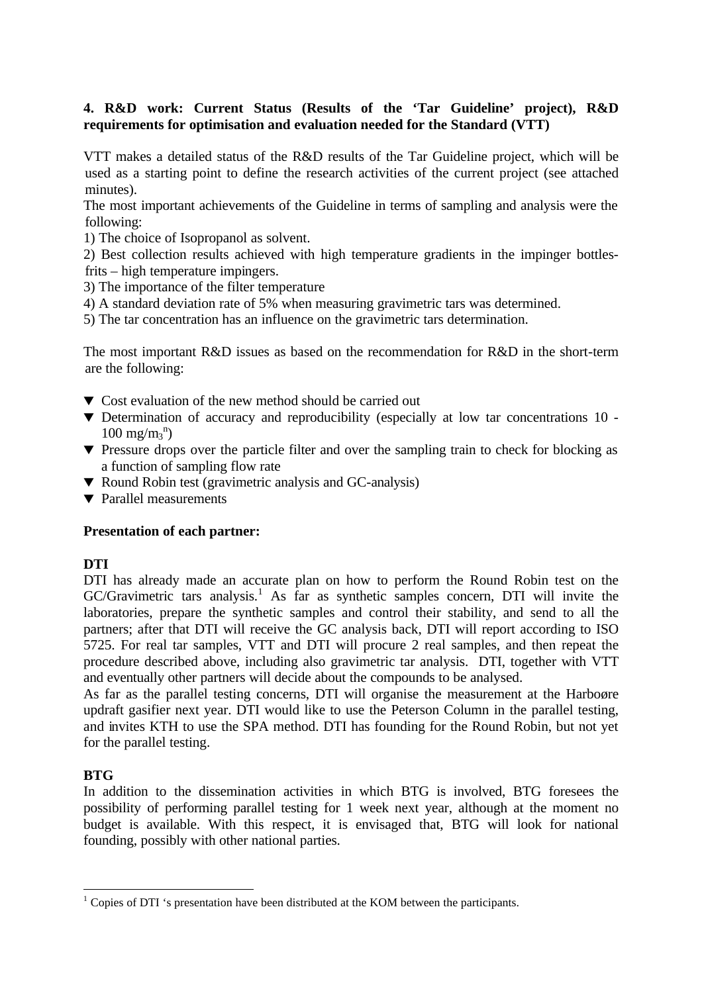# **4. R&D work: Current Status (Results of the 'Tar Guideline' project), R&D requirements for optimisation and evaluation needed for the Standard (VTT)**

VTT makes a detailed status of the R&D results of the Tar Guideline project, which will be used as a starting point to define the research activities of the current project (see attached minutes).

The most important achievements of the Guideline in terms of sampling and analysis were the following:

1) The choice of Isopropanol as solvent.

2) Best collection results achieved with high temperature gradients in the impinger bottlesfrits – high temperature impingers.

3) The importance of the filter temperature

- 4) A standard deviation rate of 5% when measuring gravimetric tars was determined.
- 5) The tar concentration has an influence on the gravimetric tars determination.

The most important R&D issues as based on the recommendation for R&D in the short-term are the following:

- $\blacktriangledown$  Cost evaluation of the new method should be carried out
- $\blacktriangledown$  Determination of accuracy and reproducibility (especially at low tar concentrations 10 - $100 \text{ mg/m}_3^{\text{n}}$
- $\blacktriangledown$  Pressure drops over the particle filter and over the sampling train to check for blocking as a function of sampling flow rate
- ▼ Round Robin test (gravimetric analysis and GC-analysis)
- $\blacktriangledown$  Parallel measurements

### **Presentation of each partner:**

### **DTI**

DTI has already made an accurate plan on how to perform the Round Robin test on the GC/Gravimetric tars analysis.<sup>1</sup> As far as synthetic samples concern, DTI will invite the laboratories, prepare the synthetic samples and control their stability, and send to all the partners; after that DTI will receive the GC analysis back, DTI will report according to ISO 5725. For real tar samples, VTT and DTI will procure 2 real samples, and then repeat the procedure described above, including also gravimetric tar analysis. DTI, together with VTT and eventually other partners will decide about the compounds to be analysed.

As far as the parallel testing concerns, DTI will organise the measurement at the Harboøre updraft gasifier next year. DTI would like to use the Peterson Column in the parallel testing, and invites KTH to use the SPA method. DTI has founding for the Round Robin, but not yet for the parallel testing.

# **BTG**

In addition to the dissemination activities in which BTG is involved, BTG foresees the possibility of performing parallel testing for 1 week next year, although at the moment no budget is available. With this respect, it is envisaged that, BTG will look for national founding, possibly with other national parties.

 $<sup>1</sup>$  Copies of DTI 's presentation have been distributed at the KOM between the participants.</sup>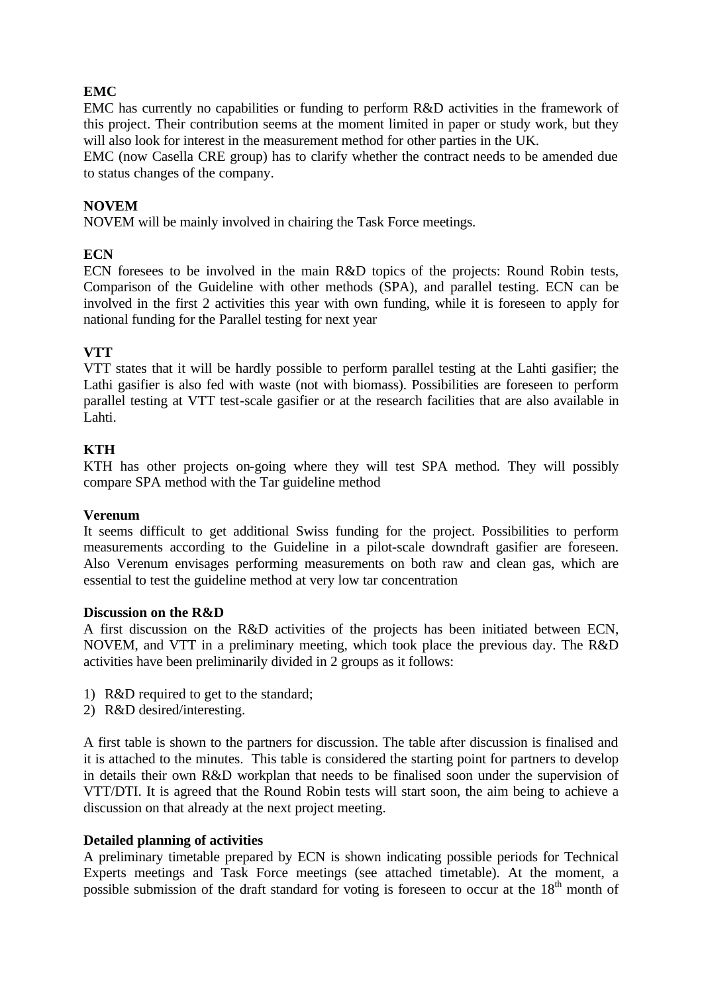# **EMC**

EMC has currently no capabilities or funding to perform R&D activities in the framework of this project. Their contribution seems at the moment limited in paper or study work, but they will also look for interest in the measurement method for other parties in the UK.

EMC (now Casella CRE group) has to clarify whether the contract needs to be amended due to status changes of the company.

# **NOVEM**

NOVEM will be mainly involved in chairing the Task Force meetings.

## **ECN**

ECN foresees to be involved in the main R&D topics of the projects: Round Robin tests, Comparison of the Guideline with other methods (SPA), and parallel testing. ECN can be involved in the first 2 activities this year with own funding, while it is foreseen to apply for national funding for the Parallel testing for next year

# **VTT**

VTT states that it will be hardly possible to perform parallel testing at the Lahti gasifier; the Lathi gasifier is also fed with waste (not with biomass). Possibilities are foreseen to perform parallel testing at VTT test-scale gasifier or at the research facilities that are also available in Lahti.

# **KTH**

KTH has other projects on-going where they will test SPA method. They will possibly compare SPA method with the Tar guideline method

### **Verenum**

It seems difficult to get additional Swiss funding for the project. Possibilities to perform measurements according to the Guideline in a pilot-scale downdraft gasifier are foreseen. Also Verenum envisages performing measurements on both raw and clean gas, which are essential to test the guideline method at very low tar concentration

### **Discussion on the R&D**

A first discussion on the R&D activities of the projects has been initiated between ECN, NOVEM, and VTT in a preliminary meeting, which took place the previous day. The R&D activities have been preliminarily divided in 2 groups as it follows:

- 1) R&D required to get to the standard;
- 2) R&D desired/interesting.

A first table is shown to the partners for discussion. The table after discussion is finalised and it is attached to the minutes. This table is considered the starting point for partners to develop in details their own R&D workplan that needs to be finalised soon under the supervision of VTT/DTI. It is agreed that the Round Robin tests will start soon, the aim being to achieve a discussion on that already at the next project meeting.

### **Detailed planning of activities**

A preliminary timetable prepared by ECN is shown indicating possible periods for Technical Experts meetings and Task Force meetings (see attached timetable). At the moment, a possible submission of the draft standard for voting is foreseen to occur at the  $18<sup>th</sup>$  month of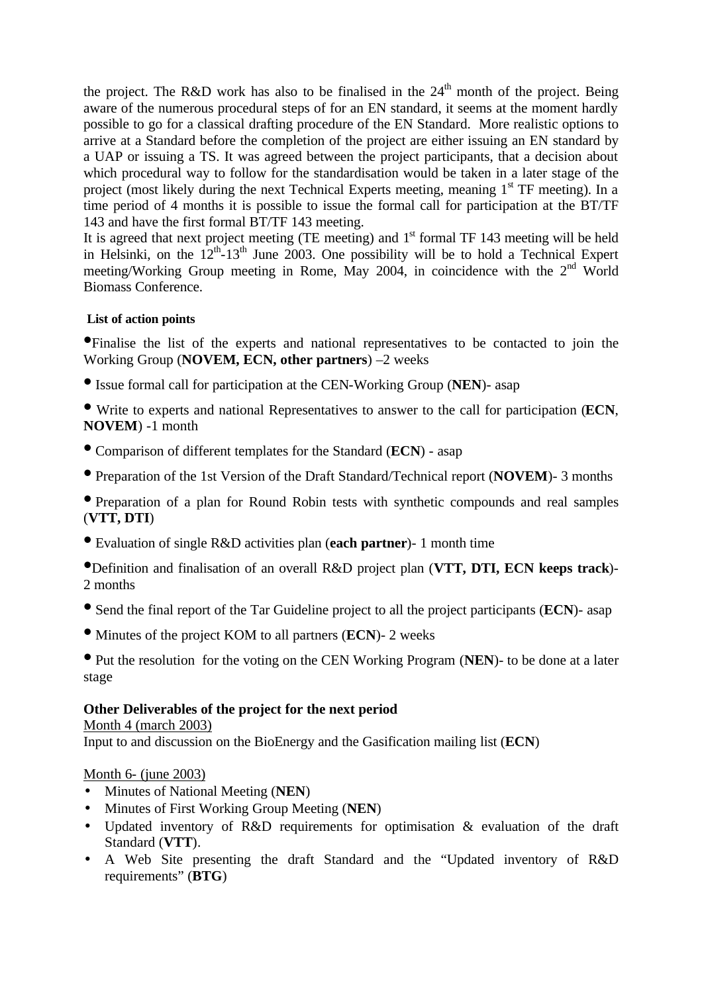the project. The R&D work has also to be finalised in the  $24<sup>th</sup>$  month of the project. Being aware of the numerous procedural steps of for an EN standard, it seems at the moment hardly possible to go for a classical drafting procedure of the EN Standard. More realistic options to arrive at a Standard before the completion of the project are either issuing an EN standard by a UAP or issuing a TS. It was agreed between the project participants, that a decision about which procedural way to follow for the standardisation would be taken in a later stage of the project (most likely during the next Technical Experts meeting, meaning 1<sup>st</sup> TF meeting). In a time period of 4 months it is possible to issue the formal call for participation at the BT/TF 143 and have the first formal BT/TF 143 meeting.

It is agreed that next project meeting (TE meeting) and 1<sup>st</sup> formal TF 143 meeting will be held in Helsinki, on the  $12^{th}$ -13<sup>th</sup> June 2003. One possibility will be to hold a Technical Expert meeting/Working Group meeting in Rome, May 2004, in coincidence with the  $2<sup>nd</sup>$  World Biomass Conference.

# **List of action points**

•Finalise the list of the experts and national representatives to be contacted to join the Working Group (**NOVEM, ECN, other partners**) –2 weeks

• Issue formal call for participation at the CEN-Working Group (**NEN**)- asap

• Write to experts and national Representatives to answer to the call for participation (**ECN**, **NOVEM**) -1 month

- Comparison of different templates for the Standard (**ECN**) asap
- Preparation of the 1st Version of the Draft Standard/Technical report (**NOVEM**)- 3 months

• Preparation of a plan for Round Robin tests with synthetic compounds and real samples (**VTT, DTI**)

• Evaluation of single R&D activities plan (**each partner**)- 1 month time

•Definition and finalisation of an overall R&D project plan (**VTT, DTI, ECN keeps track**)- 2 months

- Send the final report of the Tar Guideline project to all the project participants (**ECN**)- asap
- Minutes of the project KOM to all partners (**ECN**)- 2 weeks

• Put the resolution for the voting on the CEN Working Program (**NEN**)- to be done at a later stage

# **Other Deliverables of the project for the next period**

Month 4 (march 2003) Input to and discussion on the BioEnergy and the Gasification mailing list (**ECN**)

### Month 6- (june 2003)

- Minutes of National Meeting (**NEN**)
- Minutes of First Working Group Meeting (**NEN**)
- Updated inventory of R&D requirements for optimisation & evaluation of the draft Standard (**VTT**).
- A Web Site presenting the draft Standard and the "Updated inventory of R&D requirements" (**BTG**)